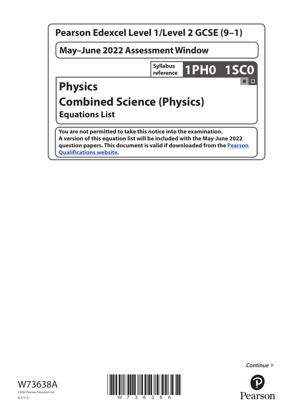





*Continue* 

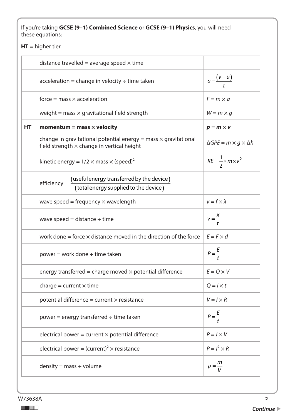If you're taking **GCSE (9–1) Combined Science** or **GCSE (9–1) Physics**, you will need these equations:

**HT** = higher tier

|    | distance travelled = average speed $\times$ time                                                                            |                                           |
|----|-----------------------------------------------------------------------------------------------------------------------------|-------------------------------------------|
|    | acceleration = change in velocity $\div$ time taken                                                                         | $a = \frac{(v-u)}{t}$                     |
|    | $force = mass \times acceleration$                                                                                          | $F = m \times a$                          |
|    | weight = mass $\times$ gravitational field strength                                                                         | $W = m \times g$                          |
| HТ | momentum = mass $\times$ velocity                                                                                           | $p = m \times v$                          |
|    | change in gravitational potential energy = mass $\times$ gravitational<br>field strength $\times$ change in vertical height | $\Delta GPE = m \times g \times \Delta h$ |
|    | kinetic energy = $1/2 \times \text{mass} \times (\text{speed})^2$                                                           | $KE = \frac{1}{2} \times m \times v^2$    |
|    | efficiency = $\frac{$ (useful energy transferred by the device)<br>(total energy supplied to the device)                    |                                           |
|    | wave speed = frequency $\times$ wavelength                                                                                  | $v = f \times \lambda$                    |
|    | wave speed = distance $\div$ time                                                                                           | $V = \frac{X}{t}$                         |
|    | work done = force $\times$ distance moved in the direction of the force                                                     | $E = F \times d$                          |
|    | power = work done $\div$ time taken                                                                                         | $P=\frac{E}{A}$                           |
|    | energy transferred = charge moved $\times$ potential difference                                                             | $E = Q \times V$                          |
|    | charge = current $\times$ time                                                                                              | $Q = l \times t$                          |
|    | potential difference = current $\times$ resistance                                                                          | $V = I \times R$                          |
|    | power = energy transferred $\div$ time taken                                                                                | $P=\frac{E}{A}$                           |
|    | electrical power = current $\times$ potential difference                                                                    | $P = I \times V$                          |
|    | electrical power = $(current)^2 \times resistance$                                                                          | $P = I^2 \times R$                        |
|    | $density = mass \div volume$                                                                                                | т<br>$\rho = -$                           |